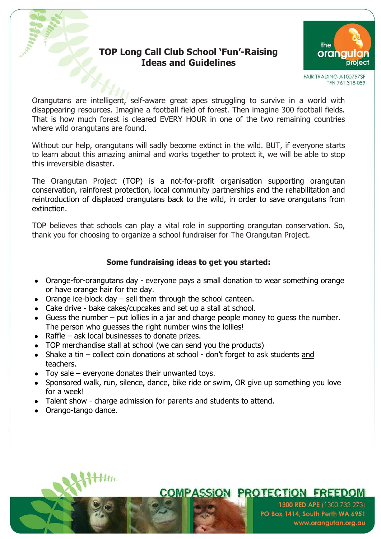### **TOP Long Call Club School 'Fun'-Raising Ideas and Guidelines**



FAIR TRADING A1007573F TFN 761 318 089

Orangutans are intelligent, self-aware great apes struggling to survive in a world with disappearing resources. Imagine a football field of forest. Then imagine 300 football fields. That is how much forest is cleared EVERY HOUR in one of the two remaining countries where wild orangutans are found.

Without our help, orangutans will sadly become extinct in the wild. BUT, if everyone starts to learn about this amazing animal and works together to protect it, we will be able to stop this irreversible disaster.

The Orangutan Project (TOP) is a not-for-profit organisation supporting orangutan conservation, rainforest protection, local community partnerships and the rehabilitation and reintroduction of displaced orangutans back to the wild, in order to save orangutans from extinction.

TOP believes that schools can play a vital role in supporting orangutan conservation. So, thank you for choosing to organize a school fundraiser for The Orangutan Project.

### **Some fundraising ideas to get you started:**

- Orange-for-orangutans day everyone pays a small donation to wear something orange or have orange hair for the day.
- Orange ice-block day  $-$  sell them through the school canteen.
- Cake drive bake cakes/cupcakes and set up a stall at school.
- Guess the number put lollies in a jar and charge people money to guess the number. The person who quesses the right number wins the lollies!
- $\bullet$  Raffle ask local businesses to donate prizes.
- TOP merchandise stall at school (we can send you the products)
- Shake a tin collect coin donations at school don't forget to ask students and teachers.
- $\bullet$  Toy sale everyone donates their unwanted toys.
- Sponsored walk, run, silence, dance, bike ride or swim, OR give up something you love for a week!
- Talent show charge admission for parents and students to attend.
- Orango-tango dance.

# **COMPASSION PROTECTION FREEDOM**

1300 RED APE (1300 733 273) PO Box 1414, South Perth WA 6951 www.orangutan.org.au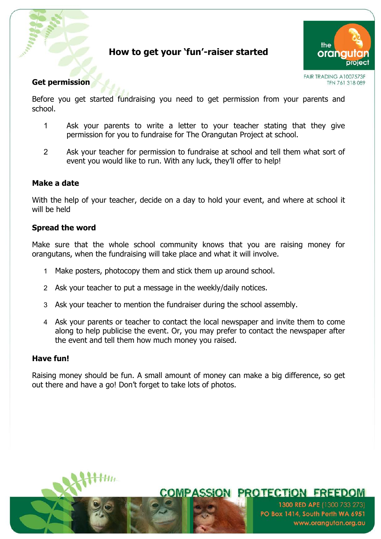# **How to get your 'fun'-raiser started**



FAIR TRADING A1007573F TFN 761 318 089

### **Get permission**

Before you get started fundraising you need to get permission from your parents and school.

- 1 Ask your parents to write a letter to your teacher stating that they give permission for you to fundraise for The Orangutan Project at school.
- 2 Ask your teacher for permission to fundraise at school and tell them what sort of event you would like to run. With any luck, they'll offer to help!

#### **Make a date**

With the help of your teacher, decide on a day to hold your event, and where at school it will be held

#### **Spread the word**

Make sure that the whole school community knows that you are raising money for orangutans, when the fundraising will take place and what it will involve.

- 1 Make posters, photocopy them and stick them up around school.
- 2 Ask your teacher to put a message in the weekly/daily notices.
- 3 Ask your teacher to mention the fundraiser during the school assembly.
- 4 Ask your parents or teacher to contact the local newspaper and invite them to come along to help publicise the event. Or, you may prefer to contact the newspaper after the event and tell them how much money you raised.

#### **Have fun!**

Raising money should be fun. A small amount of money can make a big difference, so get out there and have a go! Don't forget to take lots of photos.

**COMPASSION PROTECTION FREEDOM** 

1300 RED APE (1300 733 273)

www.orangutan.org.au

PO Box 1414, South Perth WA 6951